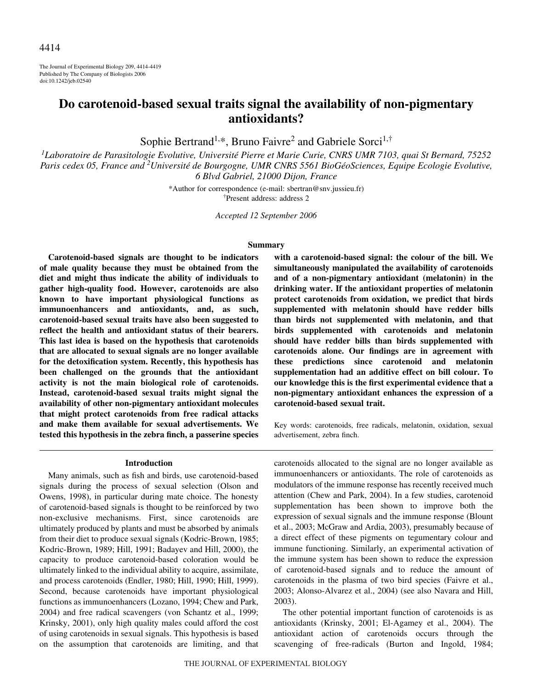The Journal of Experimental Biology 209, 4414-4419 Published by The Company of Biologists 2006 doi:10.1242/jeb.02540

# **Do carotenoid-based sexual traits signal the availability of non-pigmentary antioxidants?**

Sophie Bertrand<sup>1,\*</sup>, Bruno Faivre<sup>2</sup> and Gabriele Sorci<sup>1,†</sup>

*1 Laboratoire de Parasitologie Evolutive, Université Pierre et Marie Curie, CNRS UMR 7103, quai St Bernard, 75252* Paris cedex 05, France and <sup>2</sup>Université de Bourgogne, UMR CNRS 5561 BioGéoSciences, Equipe Ecologie Evolutive, *6 Blvd Gabriel, 21000 Dijon, France*

> \*Author for correspondence (e-mail: sbertran@snv.jussieu.fr) † Present address: address 2

> > *Accepted 12 September 2006*

### **Summary**

**Carotenoid-based signals are thought to be indicators of male quality because they must be obtained from the diet and might thus indicate the ability of individuals to gather high-quality food. However, carotenoids are also known to have important physiological functions as immunoenhancers and antioxidants, and, as such, carotenoid-based sexual traits have also been suggested to reflect the health and antioxidant status of their bearers. This last idea is based on the hypothesis that carotenoids that are allocated to sexual signals are no longer available for the detoxification system. Recently, this hypothesis has been challenged on the grounds that the antioxidant activity is not the main biological role of carotenoids. Instead, carotenoid-based sexual traits might signal the availability of other non-pigmentary antioxidant molecules that might protect carotenoids from free radical attacks and make them available for sexual advertisements. We tested this hypothesis in the zebra finch, a passerine species**

#### **Introduction**

Many animals, such as fish and birds, use carotenoid-based signals during the process of sexual selection (Olson and Owens, 1998), in particular during mate choice. The honesty of carotenoid-based signals is thought to be reinforced by two non-exclusive mechanisms. First, since carotenoids are ultimately produced by plants and must be absorbed by animals from their diet to produce sexual signals (Kodric-Brown, 1985; Kodric-Brown, 1989; Hill, 1991; Badayev and Hill, 2000), the capacity to produce carotenoid-based coloration would be ultimately linked to the individual ability to acquire, assimilate, and process carotenoids (Endler, 1980; Hill, 1990; Hill, 1999). Second, because carotenoids have important physiological functions as immunoenhancers (Lozano, 1994; Chew and Park, 2004) and free radical scavengers (von Schantz et al., 1999; Krinsky, 2001), only high quality males could afford the cost of using carotenoids in sexual signals. This hypothesis is based on the assumption that carotenoids are limiting, and that **with a carotenoid-based signal: the colour of the bill. We simultaneously manipulated the availability of carotenoids and of a non-pigmentary antioxidant (melatonin) in the drinking water. If the antioxidant properties of melatonin protect carotenoids from oxidation, we predict that birds supplemented with melatonin should have redder bills than birds not supplemented with melatonin, and that birds supplemented with carotenoids and melatonin should have redder bills than birds supplemented with carotenoids alone. Our findings are in agreement with these predictions since carotenoid and melatonin supplementation had an additive effect on bill colour. To our knowledge this is the first experimental evidence that a non-pigmentary antioxidant enhances the expression of a carotenoid-based sexual trait.**

Key words: carotenoids, free radicals, melatonin, oxidation, sexual advertisement, zebra finch.

carotenoids allocated to the signal are no longer available as immunoenhancers or antioxidants. The role of carotenoids as modulators of the immune response has recently received much attention (Chew and Park, 2004). In a few studies, carotenoid supplementation has been shown to improve both the expression of sexual signals and the immune response (Blount et al., 2003; McGraw and Ardia, 2003), presumably because of a direct effect of these pigments on tegumentary colour and immune functioning. Similarly, an experimental activation of the immune system has been shown to reduce the expression of carotenoid-based signals and to reduce the amount of carotenoids in the plasma of two bird species (Faivre et al., 2003; Alonso-Alvarez et al., 2004) (see also Navara and Hill, 2003).

The other potential important function of carotenoids is as antioxidants (Krinsky, 2001; El-Agamey et al., 2004). The antioxidant action of carotenoids occurs through the scavenging of free-radicals (Burton and Ingold, 1984;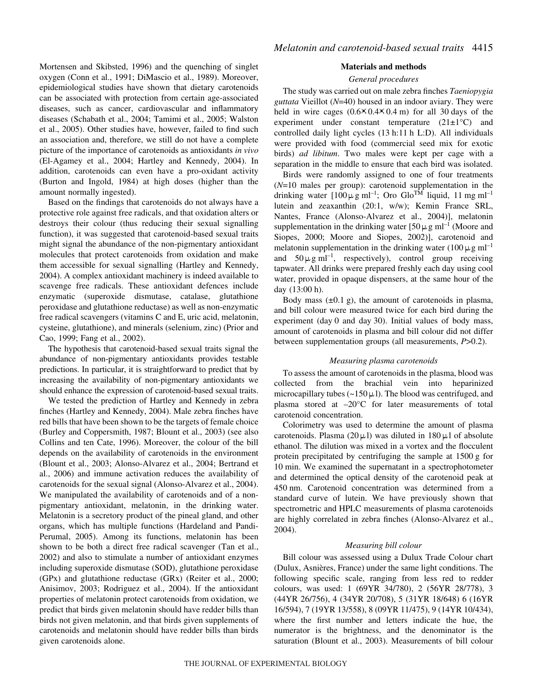Mortensen and Skibsted, 1996) and the quenching of singlet oxygen (Conn et al., 1991; DiMascio et al., 1989). Moreover, epidemiological studies have shown that dietary carotenoids can be associated with protection from certain age-associated diseases, such as cancer, cardiovascular and inflammatory diseases (Schabath et al., 2004; Tamimi et al., 2005; Walston et al., 2005). Other studies have, however, failed to find such an association and, therefore, we still do not have a complete picture of the importance of carotenoids as antioxidants *in vivo* (El-Agamey et al., 2004; Hartley and Kennedy, 2004). In addition, carotenoids can even have a pro-oxidant activity (Burton and Ingold, 1984) at high doses (higher than the amount normally ingested).

Based on the findings that carotenoids do not always have a protective role against free radicals, and that oxidation alters or destroys their colour (thus reducing their sexual signalling function), it was suggested that carotenoid-based sexual traits might signal the abundance of the non-pigmentary antioxidant molecules that protect carotenoids from oxidation and make them accessible for sexual signalling (Hartley and Kennedy, 2004). A complex antioxidant machinery is indeed available to scavenge free radicals. These antioxidant defences include enzymatic (superoxide dismutase, catalase, glutathione peroxidase and glutathione reductase) as well as non-enzymatic free radical scavengers (vitamins C and E, uric acid, melatonin, cysteine, glutathione), and minerals (selenium, zinc) (Prior and Cao, 1999; Fang et al., 2002).

The hypothesis that carotenoid-based sexual traits signal the abundance of non-pigmentary antioxidants provides testable predictions. In particular, it is straightforward to predict that by increasing the availability of non-pigmentary antioxidants we should enhance the expression of carotenoid-based sexual traits.

We tested the prediction of Hartley and Kennedy in zebra finches (Hartley and Kennedy, 2004). Male zebra finches have red bills that have been shown to be the targets of female choice (Burley and Coppersmith, 1987; Blount et al., 2003) (see also Collins and ten Cate, 1996). Moreover, the colour of the bill depends on the availability of carotenoids in the environment (Blount et al., 2003; Alonso-Alvarez et al., 2004; Bertrand et al., 2006) and immune activation reduces the availability of carotenoids for the sexual signal (Alonso-Alvarez et al., 2004). We manipulated the availability of carotenoids and of a nonpigmentary antioxidant, melatonin, in the drinking water. Melatonin is a secretory product of the pineal gland, and other organs, which has multiple functions (Hardeland and Pandi-Perumal, 2005). Among its functions, melatonin has been shown to be both a direct free radical scavenger (Tan et al., 2002) and also to stimulate a number of antioxidant enzymes including superoxide dismutase (SOD), glutathione peroxidase (GPx) and glutathione reductase (GRx) (Reiter et al., 2000; Anisimov, 2003; Rodriguez et al., 2004). If the antioxidant properties of melatonin protect carotenoids from oxidation, we predict that birds given melatonin should have redder bills than birds not given melatonin, and that birds given supplements of carotenoids and melatonin should have redder bills than birds given carotenoids alone.

### **Materials and methods**

## *General procedures*

The study was carried out on male zebra finches *Taeniopygia guttata* Vieillot (*N*=40) housed in an indoor aviary. They were held in wire cages  $(0.6 \times 0.4 \times 0.4 \text{ m})$  for all 30 days of the experiment under constant temperature  $(21 \pm 1^{\circ}C)$  and controlled daily light cycles (13 h:11 h L:D). All individuals were provided with food (commercial seed mix for exotic birds) *ad libitum*. Two males were kept per cage with a separation in the middle to ensure that each bird was isolated.

Birds were randomly assigned to one of four treatments (*N*=10 males per group): carotenoid supplementation in the drinking water  $[100 \mu g \text{ ml}^{-1}]$ ; Oro Glo<sup>TM</sup> liquid, 11 mg ml<sup>-1</sup> lutein and zeaxanthin (20:1, w/w); Kemin France SRL, Nantes, France (Alonso-Alvarez et al., 2004)], melatonin supplementation in the drinking water  $[50 \mu g \text{ m}]^{-1}$  (Moore and Siopes, 2000; Moore and Siopes, 2002)], carotenoid and melatonin supplementation in the drinking water  $(100 \mu g \text{ ml}^{-1})$ and  $50 \mu g$  ml<sup>-1</sup>, respectively), control group receiving tapwater. All drinks were prepared freshly each day using cool water, provided in opaque dispensers, at the same hour of the day  $(13:00 h)$ .

Body mass  $(\pm 0.1 \text{ g})$ , the amount of carotenoids in plasma, and bill colour were measured twice for each bird during the experiment (day 0 and day 30). Initial values of body mass, amount of carotenoids in plasma and bill colour did not differ between supplementation groups (all measurements, *P*>0.2).

### *Measuring plasma carotenoids*

To assess the amount of carotenoids in the plasma, blood was collected from the brachial vein into heparinized microcapillary tubes  $(-150 \,\mu)$ . The blood was centrifuged, and plasma stored at –20°C for later measurements of total carotenoid concentration.

Colorimetry was used to determine the amount of plasma carotenoids. Plasma (20 $\mu$ 1) was diluted in 180 $\mu$ 1 of absolute ethanol. The dilution was mixed in a vortex and the flocculent protein precipitated by centrifuging the sample at 1500 g for 10 min. We examined the supernatant in a spectrophotometer and determined the optical density of the carotenoid peak at 450 nm. Carotenoid concentration was determined from a standard curve of lutein. We have previously shown that spectrometric and HPLC measurements of plasma carotenoids are highly correlated in zebra finches (Alonso-Alvarez et al., 2004).

### *Measuring bill colour*

Bill colour was assessed using a Dulux Trade Colour chart (Dulux, Asnières, France) under the same light conditions. The following specific scale, ranging from less red to redder colours, was used: 1 (69YR 34/780), 2 (56YR 28/778), 3 (44YR 26/756), 4 (34YR 20/708), 5 (31YR 18/648) 6 (16YR 16/594), 7 (19YR 13/558), 8 (09YR 11/475), 9 (14YR 10/434), where the first number and letters indicate the hue, the numerator is the brightness, and the denominator is the saturation (Blount et al., 2003). Measurements of bill colour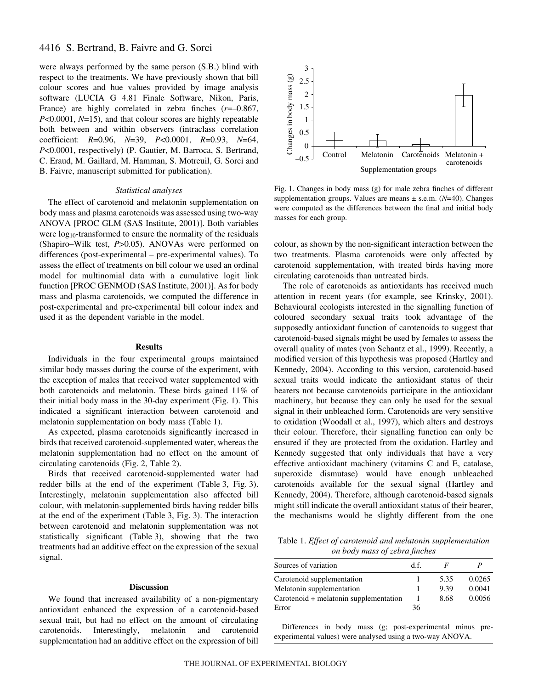# 4416 S. Bertrand, B. Faivre and G. Sorci

were always performed by the same person (S.B.) blind with respect to the treatments. We have previously shown that bill colour scores and hue values provided by image analysis software (LUCIA G 4.81 Finale Software, Nikon, Paris, France) are highly correlated in zebra finches (*r*=–0.867, *P*<0.0001, *N*=15), and that colour scores are highly repeatable both between and within observers (intraclass correlation coefficient: *R*=0.96, *N*=39, *P*<0.0001, *R*=0.93, *N*=64, *P*<0.0001, respectively) (P. Gautier, M. Barroca, S. Bertrand, C. Eraud, M. Gaillard, M. Hamman, S. Motreuil, G. Sorci and B. Faivre, manuscript submitted for publication).

### *Statistical analyses*

The effect of carotenoid and melatonin supplementation on body mass and plasma carotenoids was assessed using two-way ANOVA [PROC GLM (SAS Institute, 2001)]. Both variables were  $log_{10}$ -transformed to ensure the normality of the residuals (Shapiro–Wilk test, *P*>0.05). ANOVAs were performed on differences (post-experimental – pre-experimental values). To assess the effect of treatments on bill colour we used an ordinal model for multinomial data with a cumulative logit link function [PROC GENMOD (SAS Institute, 2001)]. As for body mass and plasma carotenoids, we computed the difference in post-experimental and pre-experimental bill colour index and used it as the dependent variable in the model.

### **Results**

Individuals in the four experimental groups maintained similar body masses during the course of the experiment, with the exception of males that received water supplemented with both carotenoids and melatonin. These birds gained 11% of their initial body mass in the 30-day experiment (Fig. 1). This indicated a significant interaction between carotenoid and melatonin supplementation on body mass (Table 1).

As expected, plasma carotenoids significantly increased in birds that received carotenoid-supplemented water, whereas the melatonin supplementation had no effect on the amount of circulating carotenoids (Fig. 2, Table 2).

Birds that received carotenoid-supplemented water had redder bills at the end of the experiment (Table 3, Fig. 3). Interestingly, melatonin supplementation also affected bill colour, with melatonin-supplemented birds having redder bills at the end of the experiment (Table 3, Fig. 3). The interaction between carotenoid and melatonin supplementation was not statistically significant (Table 3), showing that the two treatments had an additive effect on the expression of the sexual signal.

### **Discussion**

We found that increased availability of a non-pigmentary antioxidant enhanced the expression of a carotenoid-based sexual trait, but had no effect on the amount of circulating carotenoids. Interestingly, melatonin and carotenoid supplementation had an additive effect on the expression of bill



Fig. 1. Changes in body mass (g) for male zebra finches of different supplementation groups. Values are means ± s.e.m. (*N*=40). Changes were computed as the differences between the final and initial body masses for each group.

colour, as shown by the non-significant interaction between the two treatments. Plasma carotenoids were only affected by carotenoid supplementation, with treated birds having more circulating carotenoids than untreated birds.

The role of carotenoids as antioxidants has received much attention in recent years (for example, see Krinsky, 2001). Behavioural ecologists interested in the signalling function of coloured secondary sexual traits took advantage of the supposedly antioxidant function of carotenoids to suggest that carotenoid-based signals might be used by females to assess the overall quality of mates (von Schantz et al., 1999). Recently, a modified version of this hypothesis was proposed (Hartley and Kennedy, 2004). According to this version, carotenoid-based sexual traits would indicate the antioxidant status of their bearers not because carotenoids participate in the antioxidant machinery, but because they can only be used for the sexual signal in their unbleached form. Carotenoids are very sensitive to oxidation (Woodall et al., 1997), which alters and destroys their colour. Therefore, their signalling function can only be ensured if they are protected from the oxidation. Hartley and Kennedy suggested that only individuals that have a very effective antioxidant machinery (vitamins C and E, catalase, superoxide dismutase) would have enough unbleached carotenoids available for the sexual signal (Hartley and Kennedy, 2004). Therefore, although carotenoid-based signals might still indicate the overall antioxidant status of their bearer, the mechanisms would be slightly different from the one

Table 1. *Effect of carotenoid and melatonin supplementation on body mass of zebra finches*

| Sources of variation                   | d.f. |      |        |
|----------------------------------------|------|------|--------|
| Carotenoid supplementation             |      | 5.35 | 0.0265 |
| Melatonin supplementation              |      | 9.39 | 0.0041 |
| Carotenoid + melatonin supplementation |      | 8.68 | 0.0056 |
| Error                                  | 36   |      |        |

Differences in body mass (g; post-experimental minus preexperimental values) were analysed using a two-way ANOVA.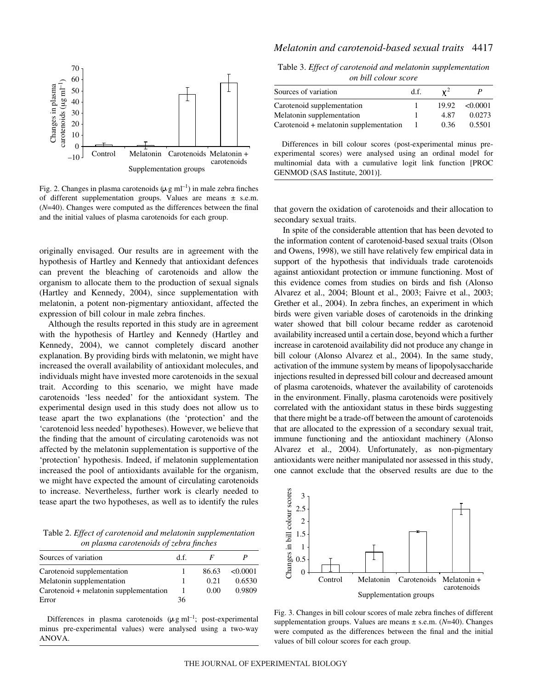

Fig. 2. Changes in plasma carotenoids ( $\mu$ g ml<sup>-1</sup>) in male zebra finches of different supplementation groups. Values are means ± s.e.m. (*N*=40). Changes were computed as the differences between the final and the initial values of plasma carotenoids for each group.

originally envisaged. Our results are in agreement with the hypothesis of Hartley and Kennedy that antioxidant defences can prevent the bleaching of carotenoids and allow the organism to allocate them to the production of sexual signals (Hartley and Kennedy, 2004), since supplementation with melatonin, a potent non-pigmentary antioxidant, affected the expression of bill colour in male zebra finches.

Although the results reported in this study are in agreement with the hypothesis of Hartley and Kennedy (Hartley and Kennedy, 2004), we cannot completely discard another explanation. By providing birds with melatonin, we might have increased the overall availability of antioxidant molecules, and individuals might have invested more carotenoids in the sexual trait. According to this scenario, we might have made carotenoids 'less needed' for the antioxidant system. The experimental design used in this study does not allow us to tease apart the two explanations (the 'protection' and the 'carotenoid less needed' hypotheses). However, we believe that the finding that the amount of circulating carotenoids was not affected by the melatonin supplementation is supportive of the 'protection' hypothesis. Indeed, if melatonin supplementation increased the pool of antioxidants available for the organism, we might have expected the amount of circulating carotenoids to increase. Nevertheless, further work is clearly needed to tease apart the two hypotheses, as well as to identify the rules

Table 2. *Effect of carotenoid and melatonin supplementation on plasma carotenoids of zebra finches*

| Sources of variation                   | d.f. |       |          |
|----------------------------------------|------|-------|----------|
| Carotenoid supplementation             |      | 86.63 | < 0.0001 |
| Melatonin supplementation              |      | 0.21  | 0.6530   |
| Carotenoid + melatonin supplementation |      | 0.00  | 0.9809   |
| Error                                  | 36   |       |          |

Differences in plasma carotenoids  $(\mu g \text{ ml}^{-1})$ ; post-experimental minus pre-experimental values) were analysed using a two-way ANOVA.

# *Melatonin and carotenoid-based sexual traits* 4417

Table 3. *Effect of carotenoid and melatonin supplementation on bill colour score*

| Sources of variation                   | d.f. |       |          |
|----------------------------------------|------|-------|----------|
| Carotenoid supplementation             |      | 19.92 | < 0.0001 |
| Melatonin supplementation              |      | 4.87  | 0.0273   |
| Carotenoid + melatonin supplementation |      | 0.36  | 0.5501   |

Differences in bill colour scores (post-experimental minus preexperimental scores) were analysed using an ordinal model for multinomial data with a cumulative logit link function [PROC GENMOD (SAS Institute, 2001)].

that govern the oxidation of carotenoids and their allocation to secondary sexual traits.

In spite of the considerable attention that has been devoted to the information content of carotenoid-based sexual traits (Olson and Owens, 1998), we still have relatively few empirical data in support of the hypothesis that individuals trade carotenoids against antioxidant protection or immune functioning. Most of this evidence comes from studies on birds and fish (Alonso Alvarez et al., 2004; Blount et al., 2003; Faivre et al., 2003; Grether et al., 2004). In zebra finches, an experiment in which birds were given variable doses of carotenoids in the drinking water showed that bill colour became redder as carotenoid availability increased until a certain dose, beyond which a further increase in carotenoid availability did not produce any change in bill colour (Alonso Alvarez et al., 2004). In the same study, activation of the immune system by means of lipopolysaccharide injections resulted in depressed bill colour and decreased amount of plasma carotenoids, whatever the availability of carotenoids in the environment. Finally, plasma carotenoids were positively correlated with the antioxidant status in these birds suggesting that there might be a trade-off between the amount of carotenoids that are allocated to the expression of a secondary sexual trait, immune functioning and the antioxidant machinery (Alonso Alvarez et al., 2004). Unfortunately, as non-pigmentary antioxidants were neither manipulated nor assessed in this study, one cannot exclude that the observed results are due to the



Fig. 3. Changes in bill colour scores of male zebra finches of different supplementation groups. Values are means ± s.e.m. (*N*=40). Changes were computed as the differences between the final and the initial values of bill colour scores for each group.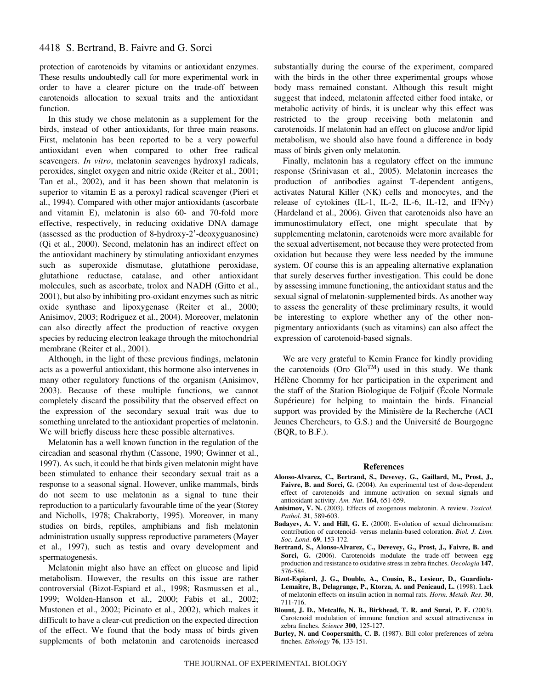protection of carotenoids by vitamins or antioxidant enzymes. These results undoubtedly call for more experimental work in order to have a clearer picture on the trade-off between carotenoids allocation to sexual traits and the antioxidant function.

In this study we chose melatonin as a supplement for the birds, instead of other antioxidants, for three main reasons. First, melatonin has been reported to be a very powerful antioxidant even when compared to other free radical scavengers. *In vitro*, melatonin scavenges hydroxyl radicals, peroxides, singlet oxygen and nitric oxide (Reiter et al., 2001; Tan et al., 2002), and it has been shown that melatonin is superior to vitamin E as a peroxyl radical scavenger (Pieri et al., 1994). Compared with other major antioxidants (ascorbate and vitamin E), melatonin is also 60- and 70-fold more effective, respectively, in reducing oxidative DNA damage (assessed as the production of 8-hydroxy-2'-deoxyguanosine) (Qi et al., 2000). Second, melatonin has an indirect effect on the antioxidant machinery by stimulating antioxidant enzymes such as superoxide dismutase, glutathione peroxidase, glutathione reductase, catalase, and other antioxidant molecules, such as ascorbate, trolox and NADH (Gitto et al., 2001), but also by inhibiting pro-oxidant enzymes such as nitric oxide synthase and lipoxygenase (Reiter et al., 2000; Anisimov, 2003; Rodriguez et al., 2004). Moreover, melatonin can also directly affect the production of reactive oxygen species by reducing electron leakage through the mitochondrial membrane (Reiter et al., 2001).

Although, in the light of these previous findings, melatonin acts as a powerful antioxidant, this hormone also intervenes in many other regulatory functions of the organism (Anisimov, 2003). Because of these multiple functions, we cannot completely discard the possibility that the observed effect on the expression of the secondary sexual trait was due to something unrelated to the antioxidant properties of melatonin. We will briefly discuss here these possible alternatives.

Melatonin has a well known function in the regulation of the circadian and seasonal rhythm (Cassone, 1990; Gwinner et al., 1997). As such, it could be that birds given melatonin might have been stimulated to enhance their secondary sexual trait as a response to a seasonal signal. However, unlike mammals, birds do not seem to use melatonin as a signal to tune their reproduction to a particularly favourable time of the year (Storey and Nicholls, 1978; Chakraborty, 1995). Moreover, in many studies on birds, reptiles, amphibians and fish melatonin administration usually suppress reproductive parameters (Mayer et al., 1997), such as testis and ovary development and spermatogenesis.

Melatonin might also have an effect on glucose and lipid metabolism. However, the results on this issue are rather controversial (Bizot-Espiard et al., 1998; Rasmussen et al., 1999; Wolden-Hanson et al., 2000; Fabis et al., 2002; Mustonen et al., 2002; Picinato et al., 2002), which makes it difficult to have a clear-cut prediction on the expected direction of the effect. We found that the body mass of birds given supplements of both melatonin and carotenoids increased substantially during the course of the experiment, compared with the birds in the other three experimental groups whose body mass remained constant. Although this result might suggest that indeed, melatonin affected either food intake, or metabolic activity of birds, it is unclear why this effect was restricted to the group receiving both melatonin and carotenoids. If melatonin had an effect on glucose and/or lipid metabolism, we should also have found a difference in body mass of birds given only melatonin.

Finally, melatonin has a regulatory effect on the immune response (Srinivasan et al., 2005). Melatonin increases the production of antibodies against T-dependent antigens, activates Natural Killer (NK) cells and monocytes, and the release of cytokines (IL-1, IL-2, IL-6, IL-12, and IFN $\gamma$ ) (Hardeland et al., 2006). Given that carotenoids also have an immunostimulatory effect, one might speculate that by supplementing melatonin, carotenoids were more available for the sexual advertisement, not because they were protected from oxidation but because they were less needed by the immune system. Of course this is an appealing alternative explanation that surely deserves further investigation. This could be done by assessing immune functioning, the antioxidant status and the sexual signal of melatonin-supplemented birds. As another way to assess the generality of these preliminary results, it would be interesting to explore whether any of the other nonpigmentary antioxidants (such as vitamins) can also affect the expression of carotenoid-based signals.

We are very grateful to Kemin France for kindly providing the carotenoids (Oro  $Glo^{TM}$ ) used in this study. We thank Hélène Chommy for her participation in the experiment and the staff of the Station Biologique de Foljuif (École Normale Supérieure) for helping to maintain the birds. Financial support was provided by the Ministère de la Recherche (ACI Jeunes Chercheurs, to G.S.) and the Université de Bourgogne (BQR, to B.F.).

#### **References**

- **Alonso-Alvarez, C., Bertrand, S., Devevey, G., Gaillard, M., Prost, J., Faivre, B. and Sorci, G.** (2004). An experimental test of dose-dependent effect of carotenoids and immune activation on sexual signals and antioxidant activity. *Am. Nat*. **164**, 651-659.
- **Anisimov, V. N.** (2003). Effects of exogenous melatonin. A review. *Toxicol. Pathol*. **31**, 589-603.
- **Badayev, A. V. and Hill, G. E.** (2000). Evolution of sexual dichromatism: contribution of carotenoid- versus melanin-based coloration. *Biol. J. Linn. Soc. Lond*. **69**, 153-172.
- **Bertrand, S., Alonso-Alvarez, C., Devevey, G., Prost, J., Faivre, B. and** Sorci, G. (2006). Carotenoids modulate the trade-off between egg production and resistance to oxidative stress in zebra finches. *Oecologia* **147**, 576-584.
- **Bizot-Espiard, J. G., Double, A., Cousin, B., Lesieur, D., Guardiola-Lemaitre, B., Delagrange, P., Ktorza, A. and Penicaud, L.** (1998). Lack of melatonin effects on insulin action in normal rats. *Horm. Metab. Res*. **30**, 711-716.
- **Blount, J. D., Metcalfe, N. B., Birkhead, T. R. and Surai, P. F.** (2003). Carotenoid modulation of immune function and sexual attractiveness in zebra finches. *Science* **300**, 125-127.
- **Burley, N. and Coopersmith, C. B.** (1987). Bill color preferences of zebra finches. *Ethology* **76**, 133-151.